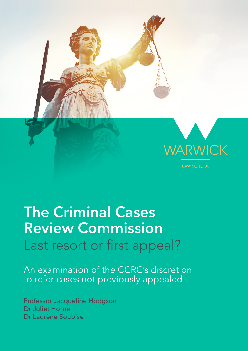

# **The Criminal Cases Review Commission** Last resort or first appeal?

An examination of the CCRC's discretion to refer cases not previously appealed

Professor Jacqueline Hodgson Dr Juliet Horne Dr Laurène Soubise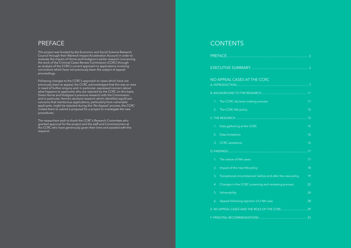**2 The Criminal Cases Review Commission** Last resort or first appeal? **3**

## EXECUTIVE SUMMARY................

# NO APPEAL CASES AT THE CCP A. INTRODUCTION..............

B. BACKGROUND TO THE RESEARCH...

- 1. The CCRC decision-making proces
- 2. The CCRC NA policy

#### C. THE RESEARCH .........

- 1. Data gathering at the CCRC
- 2. Data limitations
- 3. CCRC assistance
- D. FINDINGS..................
- 1. The nature of NA cases
- 2. Impact of the new NA policy
- 3. 'Exceptional circumstances' before
- 4. Changes in the CCRC screening and reviewing and reviewing and reviewing and reviewing and reviewing and reviewing and reviewing and reviewing and reviewing and reviewing and reviewing and reviewing and reviewing and rev
- 5. Vulnerability
- 6. Appeal following rejection of a NA
- E. NO APPEAL CASES AND THE ROLE OF
- F. PRINCIPAL RECOMMENDATIONS...

| ŠС                       |            |
|--------------------------|------------|
|                          |            |
|                          |            |
| ss                       | 11         |
|                          | 12         |
|                          |            |
|                          | 15         |
|                          | 16         |
|                          | 16         |
|                          | 17         |
|                          | 17         |
|                          | 18         |
| and after the new policy | 19         |
| nd reviewing process     | 22         |
|                          | 24         |
| A case                   | 28         |
|                          | $\dots 29$ |
|                          |            |

# PREFACE

This project was funded by the Economic and Social Science Research Council through their Warwick Impact Acceleration Account in order to evaluate the impact of Horne and Hodgson's earlier research concerning the work of the Criminal Cases Review Commission (CCRC) through an analysis of the CCRC's current approach to applications involving convictions which have not previously been the subject of appeal proceedings.

Following changes to the CCRC's approach to cases which have not previously been to appeal, the CCRC acknowledged that this was an area in need of further enquiry and, in particular, expressed concern about what happens to applicants who are rejected by the CCRC on this basis. Given Horne and Hodgson's previous research with the Commission, and in particular, Horne's doctoral research which identified significant concerns that meritorious applications, particularly from vulnerable applicants, might be rejected during this 'No Appeal' process, the CCRC invited them to submit a proposal for a project to investigate the new procedures.

The researchers wish to thank the CCRC's Research Committee who granted approval for the project and the staff and Commissioners at the CCRC who have generously given their time and assisted with this research.

# **CONTENTS**

#### PREFACE...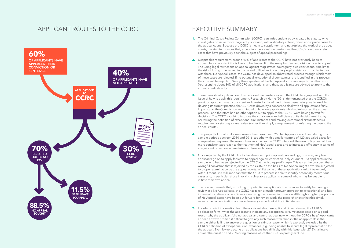the appeal courts. Because the CCRC is meant to supplement and not replace the work of the appeal

- **1.** The Criminal Cases Review Commission (CCRC) is an independent body, created by statute, which investigates possible miscarriages of justice and, within statutory criteria, refers appropriate cases to courts, the statute provides that, except in exceptional circumstances, the CCRC should only refer cases that have previously been the subject of appeal proceedings.
- **2.** Despite this requirement, around 40% of applicants to the CCRC have not previously been to appeal. To some extent this is likely to be the result of the many barriers and disincentives to appeal (including legal restrictions on appeal against magistrates' court guilty plea convictions, time limits, the risk of losing time served in prison and difficulties in securing legal assistance). In order to deal with these 'No Appeal' cases, the CCRC has developed an abbreviated process through which most of these cases are rejected. If no potential 'exceptional circumstances' are identified in this process, the case will be rejected. Nearly three quarters of the 'No Appeal' cases are rejected on this basis (representing about 30% of all CCRC applications) and these applicants are advised to apply to the appeal courts directly.
- **3.** There is no statutory definition of 'exceptional circumstances' and the CCRC has grappled with the issue of how to apply this requirement. Research by Horne (2016) demonstrated that the CCRC's previous approach was inconsistent and created a risk of meritorious cases being overlooked. In devising its current practice, the CCRC was driven by a concern to deal with all applications fairly. In particular, the Commission was mindful of how long applicants who had exhausted the appeal process – and therefore had no other option but to apply to the CCRC - were having to wait for decisions. The CCRC sought to improve the consistency and efficiency of its decision-making by narrowing the definition of exceptional circumstances and making exceptional circumstances a requirement for starting a case review (rather than simply a requirement for referring the case to the appeal courts).
- **4.** This project followed up Horne's research and examined 250 No Appeal cases closed during four sample periods between 2010 and 2016, together with a smaller sample of 120 appealed cases for comparative purposes. The research reveals that, as the CCRC intended, the new policy has led to a a significant reduction in time taken to close such cases.
- **5.** Once rejected by the CCRC due to the absence of prior appeal proceedings, however, very few applicants go on to apply for leave to appeal against conviction (only 21 out of 183 applicants in the sample who had been rejected by the CCRC at the 'No Appeal' stage). This raises the prospect that a to proper examination by the appeal courts. Whilst some of these applications might be entirely without merit, it is still important that the CCRC's process is able to identify potentially meritorious cases and, in particular, those involving vulnerable applicants, some of whom may be unable to initiate their own appeal.
- **6.** The research reveals that, in looking for potential exceptional circumstances to justify beginning a review in a No Appeal case, the CCRC has taken a much narrower approach to 'exceptional' and has of No Appeal cases have been put forward for review work, the research shows that this simply reflects the reclassification of checks formerly carried out at the initial stages.
- **7.** In order to elicit information from the applicant about exceptional circumstances, the CCRC's application form invites the applicant to indicate any exceptional circumstances based on a good appear, however, to find it difficult to give any such reason with almost 80% of applicants in the sample either failing to answer the question or citing a reason which is expressly excluded by the CCRC's definition of exceptional circumstances (e.g. being unable to secure legal representation for the appeal). Even lawyers acting on applications had difficulty with this issue, with 27.5% failing to answer the question and 20% citing reasons which the CCRC expressly exclude.

more consistent approach to the treatment of No Appeal cases and to increased efficiency in terms of

wrongful conviction that is rejected by the CCRC on the basis of No Appeal might never be subjected

increased its reliance on applicants identifying the relevant information. Although a higher proportion

reason why the applicant 'did not appeal and cannot appeal now without the CCRC's help'. Applicants

# APPLICANT ROUTES TO THE CCRC EXECUTIVE SUMMARY

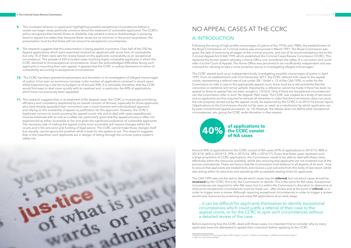- **8.** This increased reliance on applicants highlighting possible exceptional circumstances before a review can begin raises particular concerns about the treatment of vulnerable applicants. The CCRC's policy recognises that mental illness or disability may present a serious disadvantage in pursuing leave to appeal but states that, because these issues are so common in the prison population, the presumption must be that these will not amount to exceptional circumstances.
- **9.** The research suggests that this presumption is being applied in practice. Over half of the 250 No Appeal applications which were examined involved an applicant with some form of vulnerability but only 10 of them were sent for review based on the applicants vulnerability as an 'exceptional circumstance'. The sample of 250 included cases involving highly vulnerable applicants in which the CCRC declined to find exceptional circumstances. Given the acknowledged difficulties facing such applicants in mounting their own appeal, it appears that the CCRC is unduly dismissive of claims of vulnerability amounting to exceptional circumstances.
- **10.** The CCRC has been granted broad powers and discretion in its investigation of alleged miscarriages of justice. It has seen an enormous increase in the number of applications received in recent years whilst experiencing a real terms budget cut of around 30%. It is inevitable, therefore, that the CCRC would find ways to deal more quickly with its caseload and, in particular, the 40% of applications which have not previously been appealed.
- **11.** This research suggests that, in its treatment of No Appeal cases, the CCRC is increasingly prioritising efficiency and consistency (explained by an overall concern of fairness, especially for those applicants who have already appealed their conviction) over a more humane and individualised approach and relying on the availability of appeal as justification for this approach. However, the CCRC's legitimate concern to avoid usurping the appeal courts role and to deal with cases expeditiously must be balanced with its role as a safety net, particularly given that the appeal process is often not experienced as either accessible or fair and given the significant proportion of vulnerable applicants. The necessary task of making the appeal courts more accessible will require changes within the courts and in the provision and funding of legal advice. The CCRC cannot make those changes itself but, equally, cannot ignore the problem while it waits for the system to act. This research suggests that, in the meantime, such applicants are in danger of falling through the criminal justice system's safety net.



## ...it can be difficult for applicants themselves to identify exceptional circumstances which could justify a referral of their case to the appeal courts, or for the CCRC to spot such circumstances without a detailed review of the case.

Following the string of high-profile miscarriages of justice of the 1970s and 1980s, the establishment of the Royal Commission on Criminal Justice was announced in March 1991. The Royal Commission was given the task of examining all stages of the criminal process, and one of its recommendations led to the Criminal Appeal Act (CAA) 1995 which established the Criminal Cases Review Commission (CCRC). This replaced the former system whereby a Home Office unit considered the safety of a conviction and could refer it to the Court of Appeal. The Home Office was perceived to be insufficiently independent and was criticised for refusing to take a more proactive stance in investigating alleged miscarriages.1

# **40%** of applications to<br>of NA cases **the CCRC consist of NA cases**

The CCRC started work as an independent body investigating possible miscarriages of justice in April 1997. From its establishment until 31st December 2017, the CCRC referred 636 cases to the appeal courts, representing a referral rate of just under 3%.2 Under s. 13 of the CAA 1995, in order for the Commission to refer a case to the appropriate appeal court, there must be a real possibility that the conviction or sentence will not be upheld. Importantly, a reference cannot be made if there has been no appeal or leave to appeal has not been sought (s. 13(1)(c)). Only if there are 'exceptional circumstances' can the Commission refer in such 'No Appeal' (NA) cases. The CCRC was created as a body of last resort and so applicants are first required to exhaust all remedies in order that the Commission does not usurp the role properly carried out by the appeal courts. As explained by the CCRC in its 2013/14 annual report, '[a]pplications to the Commission should not be seen, or used, as a mechanism by which applicants can by-pass conventional appeal processes.' (p. 14) However, the statute does not define what 'exceptional circumstances' are, giving the CCRC wide discretion in that respect.

# A. INTRODUCTION NO APPEAL CASES AT THE CCRC

Around 40% of applications to the CCRC consist of NA cases (47% of applications in 2012/13; 48% in 2013/14; 46% in 2014/15; 39% in 2015/16; 38% in 2016/17). Given that these cases represent such a large proportion of CCRC applications, the Commission needs to be able to deal with these cases effectively within the resources available, whilst also ensuring that applicants are not screened out of the process prematurely. These are factors that the Commission must balance in all aspects of its work – how to ensure that applicants are treated fairly and receive a just outcome from this body of last resort, whilst also acting within its resources and operating with acceptable waiting times for applicants.

The CAA 1995 sets out the test to decide which cases may be **referred**, but not which cases should be **reviewed** by the CCRC; this is for the Commission to decide. This is the same for NA cases. Exceptional circumstances are required to refer NA cases, but it is within the Commission's discretion to determine at what point exceptional circumstances must be made out – after review and at the point of **referral**, or in order to trigger even a review. Although requiring exceptional circumstances in order to trigger a review would save resources by screening out many NA applications at an early stage,

Before examining how the CCRC deals with those cases, it is important first to consider why so many applicants have not attempted to appeal their conviction before applying to the CCRC.

<sup>1.</sup> Royal Commission on Criminal Justice Report 1993, Chapter 11, para 2-11. Belloni, F and Hodgson, J. (2000) *Criminal Injustice chapter 1.* 2. https://ccrc.gov.uk/case-statistics/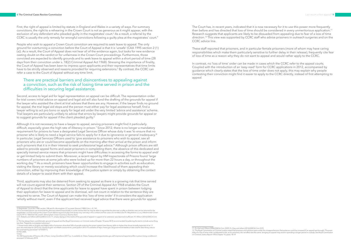First, the right of appeal is limited by statute in England and Wales in a variety of ways. For summary convictions, the right to a rehearing in the Crown Court is not as generous as it might appear, with the exclusion of any defendant who pleaded quilty in the magistrates' court.<sup>3</sup> As a result, a referral by the CCRC is usually the only remedy for wrongful convictions following a guilty plea at the magistrates' court.4

## There are practical barriers and disincentives to appealing against a conviction, such as the risk of losing time served in prison and the difficulties in securing legal assistance.

Second, access to legal aid for legal representation on appeal can be difficult. The representation order for trial covers initial advice on appeal and legal aid will also fund the drafting of the grounds for appeal if the lawyer who assisted the client at trial advises that there are any. However, if the lawyer finds no ground for appeal, the trial legal aid stops and the person must either pay for legal assistance herself, find a lawyer willing to act pro bono or apply for legal aid under the very limited 'advice and assistance' scheme. Trial lawyers are particularly unlikely to advise that errors by lawyers might provide grounds for appeal or to suggest grounds for appeal if the client pleaded guilty.<sup>6</sup>

People who wish to appeal a Crown Court conviction are required to seek leave to appeal. The only ground for overturning a conviction before the Court of Appeal is that it is 'unsafe' (CAA 1995 section 2 (1) (a)). As a result, the Court of Appeal does not hear all of the evidence again, but looks for new evidence casting doubt on the verdict or for unfairness in the Crown Court proceedings. Furthermore, those convicted are expected to identify grounds and to seek leave to appeal within a short period of time (28 days from their conviction under s. 18(2) Criminal Appeal Act 1968). Stressing the importance of finality, the Court of Appeal has been keen to impress upon applicants and their representatives that time limits have to be strictly observed and reasons provided for requiring extensions.<sup>5</sup> By contrast, the CCRC can refer a case to the Court of Appeal without any time limit.

Although it is not necessary to have a lawyer to appeal, serving prisoners might find it particularly difficult, especially given the high rate of illiteracy in prison.<sup>7</sup> Since 2012, there is no longer a mandatory requirement for prisons to have a designated Legal Services Officer whose duty it was 'to ensure that no prisoner who is likely to need a legal service fails to apply for it due to ignorance or general inadequacy.'8 In particular, Legal Services Officers used to 'give assistance to prisoners who wish to appeal, see all prisoners who are or could become appellants on the morning after their arrival at the prison and inform such prisoners that it is in their interest to seek professional legal advice.'9 Although prison officers are still asked to provide appeal forms and assist prisoners in completing them, the absence of this dedicated and specially trained service means that prisoners might have difficulties in accessing the forms to appeal and/ or get limited help to submit them. Moreover, a recent report by HM Inspectorate of Prisons found 'large numbers of prisoners at some jails who were locked up for more than 22 hours a day, or throughout the working day.'10 As a result, prisoners have fewer opportunities to engage in activities such as education, visiting the library or merely socialising which could increase the likelihood of them appealing their conviction, either by improving their knowledge of the justice system or simply by obtaining the contact details of a lawyer to assist them with their appeal.

Third, applicants may also be deterred from seeking to appeal as there is a growing risk that time served will not count against their sentence. Section 29 of the Criminal Appeal Act 1968 enables the Court of Appeal to direct that the time applicants for leave to appeal have spent in prison between lodging their application for leave to appeal and its dismissal, will not count in relation to the sentence they are required to serve. The Court of Appeal can make this 'loss of time order' if it considers the application 'wholly without merit', even if the applicant had received legal advice that there were grounds for appeal. The Court has, in recent years, indicated that it is now necessary for it to use this power more frequently than before and has directed that loss of time should be considered in every unmeritorious application.<sup>11</sup> Research suggests that applicants are likely to be dissuaded from appealing due to fear of a loss of time direction.<sup>12</sup> This view was supported by CCRC staff who advise prisoners in outreach surgeries and on the CCRC advice line.

These staff reported that prisoners, and in particular female prisoners (more of whom may have caring responsibilities which make them particularly sensitive to further delay in their release), frequently cite fear of loss of time as a reason why they do not want to appeal and would rather apply to the CCRC.

In contrast, no 'loss of time' order can be made in cases which the CCRC refer to the appeal courts. Coupled with the introduction of an 'easy-read' form for CCRC applications in 2012, accompanied by guidance which clearly states that the loss of time order does not apply, this may explain why people contesting their conviction might find it easier to apply to the CCRC directly, instead of first attempting to appeal.

<sup>7.</sup> Government data on English and Maths skills of prisoners show that 56% of people entering the prison system have literacy skills no higher than those broadly expected of an 11<br>year old child (data for 2015/16): OLASS En tion-and-training [accessed 13/10/2017]. 8. PSO 2605.

<sup>3.</sup> Magistrates' Court Act 1980, section 108 and *R v Birmingham CC ex parte Sharma* [1988] Crim. L. R. 741.

<sup>4.</sup> If a convicted person can show that the plea was entered equivocally or under duress then he may be able to argue that the plea was a nullity so that the case can be returned to the<br>magistrates' court for trial but the Court [1971] 1 WLR 567 DC and R*v Birmingham Crown Court ex p Sharma ibid.*)<br>5. R*v Roberts and Others* [2016] EWCA Crim 71; simply relying on the merits of the grounds of appeal in support of an extension was deemed insuf

<sup>65.&</sup>lt;br>6. This has always been a problematic ground of appeal and the Royal Commission on Criminal Justice (Chapter 10 paras 58-9) recommended broadening the test to include some thing

less than "flagrantly incompetent advocacy".

<sup>9.</sup> Ibid. 10. HM Inspectorate of Prisons, *Life in Prison: Living Conditions* (2017) p. 3, available at <https://www.justiceinspectorates.gov.uk/hmiprisons/inspections/life-in-prison-living-conditions/> accessed 12 February 2018.

<sup>11.</sup> *R v Hart and Others* [2006] EWCA Crim 3239; *R v Gray and others* [2014] EWCA Crim 2372. 12. The Royal Commission on Criminal Justice noted that prisoners and solicitors were under the misapprehension that sentence could be increased if an appeal was brought. The possibility of a loss of time order contributed to this, as for prisoners, the net effect was the same: bringing an appeal may result in spending a longer period in custody. See Royal Commission on Criminal Justice *Report* 1993 Chapter 10, paras. 18-19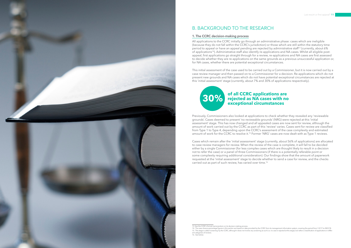

# B. BACKGROUND TO THE RESEARCH

#### **1. The CCRC decision-making process**

All applications to the CCRC initially go through an administrative phase: cases which are ineligible (because they do not fall within the CCRC's jurisdiction) or those which are still within the statutory time period to appeal or have an appeal pending are rejected by administrative staff<sup>13</sup> (currently, about 6%) of applications14). Administrative staff also identify re-applications and NA cases. Whilst all eligible postappeal, first applications go straight through for a review, re-applications and NA cases are first assessed to decide whether they are re-applications on the same grounds as a previous unsuccessful application or, for NA cases, whether there are potential exceptional circumstances.

This initial assessment of the case used to be carried out by a Commissioner, but it is now carried out by a case review manager and then passed on to a Commissioner for a decision. Re-applications which do not present new grounds and NA cases which do not have potential exceptional circumstances are rejected at this 'initial assessment' stage (currently, about 7% and 30% of applications respectively).

Previously, Commissioners also looked at applications to check whether they revealed any 'reviewable grounds'. Cases deemed to present 'no reviewable grounds' (NRG) were rejected at this 'initial assessment' stage. This has now changed and all appealed cases are now sent for review, although the amount of work carried out by the CCRC as part of this 'review' varies. Cases sent for review are classified from Type 1 to Type 4, depending upon the CCRC's assessment of the case complexity and estimated amount of work for the CCRC to resolve it.15 Former 'NRG' cases are now dealt with as Type 1 reviews.

# **30%** of all CCRC applications are<br>**30%** rejected as NA cases with no<br>exceptional circumstances **rejected as NA cases with no exceptional circumstances**

Cases which remain after the 'initial assessment' stage (currently, about 56% of applications) are allocated to case review managers for review. When the review of the case is complete, it will fall to be decided either by a single Commissioner (for less complex cases which are thought likely to result in a decision not to refer the case) or a panel of three Commissioners (if there is a potentially referable point or some complexity requiring additional consideration). Our findings show that the amount of paperwork requested at the 'initial assessment' stage to decide whether to send a case for review, and the checks carried out as part of such review, has varied over time.16

<sup>13.</sup> See the CCRC's formal memorandum on its decision-making process.<br>14. The case closure percentage figures in this section are based on data provided by the CCRC from its management information system, covering the perio ... This stage is called 'screening' by the CCRC, although it does not involve any screening as such (i.e. no case is rejected at this stage), but rather a classification of applications in differ-<br>15. This stage is called

ent categories of reviews. 16. See below.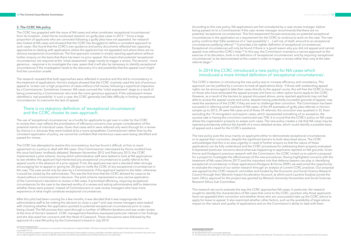#### **2. The CCRC NA policy**

The CCRC has grappled with the issue of NA cases and what constitutes 'exceptional circumstances' from its inception. Juliet Horne conducted research on guilty plea cases in 2013.17 Since a large proportion of applicants who are convicted following a guilty plea have not appealed, her research also looked at NA cases and showed that the CCRC has struggled to define a consistent approach to such cases. She found that the CCRC's own guidance and policy documents reflected two opposing approaches to dealing with applications where the applicant has not appealed and where there are no obvious exceptional circumstances. The first approach consists in simply rejecting applications without further enquiry on the basis that there has been no prior appeal: this means that potential 'exceptional circumstances' are required at the 'initial assessment' stage merely to trigger a review. The second – more generous – response is to investigate the case, aware that it will also be necessary to identify exceptional circumstances if the investigation leads to the discovery of a real possibility that the appeal court might find the conviction unsafe.

The research revealed that both approaches were reflected in practice and this led to inconsistency in the treatment of applications. Horne's analysis showed that the CCRC routinely used the lack of previous appeal to 'screen out' a high proportion of cases without a full review, following a superficial inspection by a Commissioner. Sometimes, however, NA cases survived the 'initial assessment' stage as a result of being screened by a Commissioner who took the more generous approach. If the subsequent review identified a 'real possibility' in such a case, the CCRC generally had little difficulty in finding 'exceptional circumstances' to overcome the lack of appeal.

### There is no statutory definition of 'exceptional circumstance' and the CCRC choses its own approach.

The use of 'exceptional circumstances' as a hurdle for applicants to get over in order for the CCRC to review their case reflects the prioritisation of efficiency concerns over proper consideration of the potential merits of individual cases. Given that cases which were referred only went through for a review by chance (i.e. because they were looked at by a more sympathetic Commissioner) rather than by the consistent application of policy, we cannot be confident that meritorious cases were being identified and passed for review.

According to this new policy, NA applications are first considered by a case review manager, before being passed on to a Commissioner if the case review manager recommends that there are no potential 'exceptional circumstances'. This first assessment focuses exclusively on potential exceptional circumstances in the application as a requirement for the CCRC to continue to work on the case. The new policy confirms that '[t]he existence of a "real possibility" (…) will not, of itself, amount to an exceptional circumstance justifying referral.'19 It provides a far tighter definition of exceptional circumstances. Exceptional circumstances will only be found if there is 'a good reason why you did not appeal and cannot appeal now without the CCRC's help.<sup>'20</sup> In this way, the Commission maintains a narrow approach to the exercise of its discretion, both in its definition of 'exceptional circumstances' and by requiring 'exceptional circumstances' to be demonstrated at the outset in order to trigger a review rather than only at the later referral stage.<sup>21</sup>

# In 2014 the CCRC introduced a new policy for NA cases which introduced a more limited definition of 'exceptional circumstances'.

The CCRC has attempted to resolve this inconsistency, but has found it difficult, at first, to reach agreement on a policy to deal with NA cases. One Commissioner interviewed by Horne recalled how the issue had been 'endlessly debated'. Between November 2012 and February 2013, the CCRC implemented a pilot scheme, during which administrative staff were tasked to look at NA applications to see whether the applicant had mentioned any exceptional circumstances to justify referral to the appeal courts in the absence of a prior appeal. If not, the applicant was sent a standard letter strongly encouraging her to appeal or giving her 28 days to notify the CCRC of any exceptional circumstances in the case. The case would only be seen by a Commissioner if the applicant replied to the letter, otherwise it would be closed by the administrator. This was the first time that the CCRC allowed for cases to be closed without a Commissioner's decision. The pilot scheme represented a very narrow application of the Commission's discretion to review in NA cases. It prioritised efficiency, requiring exceptional circumstances for the case to be deemed worthy of a review and asking administrative staff to determine whether these were present, instead of Commissioners or case review managers who have more experience of what might constitute exceptional circumstances.

After this pilot had been running for a few months, it was decided that it was inappropriate for administrative staff to be making the decision to close a case<sup>18</sup> and case review managers were tasked with checking whether the application pointed to potential exceptional circumstances prior to cases being closed. The NA process then went through a number of different iterations and was under review at the time of Horne's research. CCRC management therefore expressed particular interest in her findings and she discussed her concerns with the Head of Casework. These discussions were followed by the approval of a new NA policy by the Commission's board in July 2014.

The CCRC's intention in introducing the new policy was to increase efficiency and consistency. This approach can be justified by a concern to treat all applications fairly. If those with outstanding appeal rights can be encouraged to take their cases directly to the appeal courts, this will free the CCRC to focus on those who have exhausted the appeal process and have no other option but to apply to the CCRC. However, as a result of the barriers to appeal discussed above, some rejected applicants may not feel able to access the appeal courts and some, despite having potentially successful grounds of appeal, may need the assistance of the CCRC if they are ever to challenge their conviction. The Commission has been successful in referring small numbers of NA cases: of the 49 examples of guilty plea referrals in Horne's sample up to 2013, 39 were NA cases and of these 39 referrals, the conviction was quashed in 33. Even excluding the 19 immigration and asylum cases, which represented something of an exception, the success rate in having the conviction overturned was 75%. It is crucial that the CCRC's policy on NA cases allows the organisation properly to assess such cases. The new policy creates a risk that NA cases may be rejected prematurely without the benefit of a more detailed review, which could identify a possible basis of appeal and a need for the CCRC's assistance.

The new policy puts the onus mainly on applicants either to demonstrate exceptional circumstances or to appeal their conviction, despite the significant barriers to both described above. The CCRC acknowledges that this is an area urgently in need of further enquiry so that the nature of these applications can be fully understood and the CCRC procedures for addressing them properly evaluated. It expressed particular concerns about what was happening to applicants rejected on NA grounds. Given Horne and Hodgson's previous research with the Commission, the CCRC invited us to submit a proposal for a project to investigate the effectiveness of the new procedures. Having highlighted concerns with the treatment of NA cases (Horne 2017) and the important role that defence lawyers can play in identifying exceptional circumstances in these applications (Hodgson & Horne 2009), we welcomed the opportunity to evaluate the impact of our earlier research through an analysis of current CCRC practices. Our proposal was agreed by the CCRC research committee and funded by the Economic and Social Science Research Council through their Warwick Impact Acceleration Account, at which point Laurène Soubise joined the team. Ethics approval for the project was granted by Warwick University Humanities and Social Sciences Research Ethics Sub-Committee.

This research set out to evaluate the way the CCRC approaches NA cases. In particular, the research sought to identify the characteristics of NA cases that come to the CCRC, ascertain why those applicants have not appealed their conviction and whether those who are unsuccessful take up the CCRC advice to apply for leave to appeal. It also examined whether other factors, such as the availability of legal advice, impact on the nature and quality of applications and on the Commission's ability to deal with them.

<sup>17.</sup> Horne, J. (2016) *A plea of convenience: an examination of the guilty plea in England & Wales.* PhD thesis, University of Warwick. Available at http://webcat.warwick.ac.uk/record=b3057719~S1.

<sup>18.</sup> Horne's sampling revealed a case which was rejected as part of the pilot scheme despite involving a potentially vulnerable applicant who, having been convicted in the youth court,<br>had no right to appeal. A senior membe

<sup>19.</sup> Formal Memorandum. 20. Standard FAQs sent to unsuccessful applicants.

<sup>21.</sup> As noted above, the statute refers to the need for exceptional circumstances in order to *refer* NA cases. The decision on which cases to *review* is entirely that of the Commission.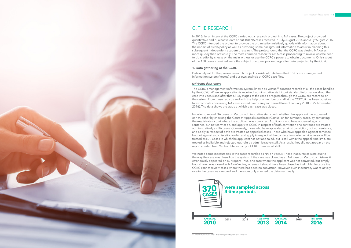

# C. THE RESEARCH

In 2015/16, an intern at the CCRC carried out a research project into NA cases. The project provided quantitative and qualitative data about 100 NA cases received in July/August 2014 and July/August 2015. The CCRC intended the project to provide the organisation relatively quickly with information about the impact of its NA policy as well as providing some background information to assist in planning this subsequent independent academic research. The project found that the CCRC was closing NA cases more quickly than previously. The most common reason for a NA case proceeding to review was the need to do credibility checks on the main witness or use the CCRC's powers to obtain documents. Only six out of the 100 cases examined were the subject of appeal proceedings after being rejected by the CCRC.

The CCRC's management information system, known as Vectus,<sup>22</sup> contains records of all the cases handled by the CCRC. When an application is received, administrative staff input standard information about the case into Vectus and after that all key stages of the case's progress through the CCRC are recorded on the system. From these records and with the help of a member of staff at the CCRC, it has been possible to extract data concerning NA cases closed over a six-year period (from 1 January 2010 to 22 November 2016). The data shows the stage at which each case was closed.

#### **1. Data gathering at the CCRC**

Data analysed for the present research project consists of data from the CCRC case management information system (Vectus) and our own analysis of CCRC case files.

#### *(a) Vectus data report*

In order to record NA cases on Vectus, administrative staff check whether the applicant has appealed or not, either by checking the Court of Appeal's database (Cactus) or, for summary cases, by contacting the magistrates' court where the applicant was convicted. Applicants who have appealed against sentence, but not conviction, and apply to CCRC in respect of both conviction and sentence are treated administratively as NA cases. Conversely, those who have appealed against conviction, but not sentence, and apply in respect of both are treated as appealed cases. Those who have appealed against sentence, but not against a confiscation order, and apply in respect of the confiscation order, or vice versa, will be treated as NA. Cases in which the applicant has not appealed, but is still within the appeal time limit, are treated as ineligible and rejected outright by administrative staff. As a result, they did not appear on the report created from Vectus data for us by a CCRC member of staff.

We noted some inaccuracies in the cases recorded as NA on Vectus. Those inaccuracies were due to the way the case was closed on the system. If the case was closed as an NA case on Vectus by mistake, it erroneously appeared on our report. Thus, one case where the applicant was not convicted, but simply bound over, was closed as NA on Vectus, whereas it should have been closed as ineligible, because the CCRC cannot review cases where there has been no conviction. However, such inaccuracy was relatively rare in the cases we sampled and therefore only affected the data marginally.

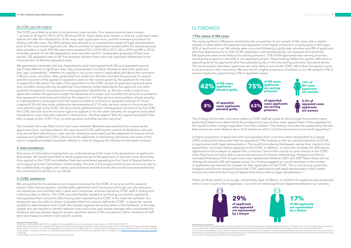#### *(b) CCRC case file analysis*

The CCRC permitted us access to its electronic case records. Four sample periods were chosen – 1 January to 30 April in 2010, 2013, 2014 and 2016. These dates were chosen so that we could track cases before and after the introduction of the 'easy-read' application form, and the renewed procedure for dealing with NA cases. The 2010 sample also allowed us to compare the impact of legal representation prior to the most recent legal aid cuts. About one third of applications closed within the sample periods were sampled. In total, 250 NA cases were sampled (50 in 2010, 80 in 2013, 40 in 2014 and 80 in 2016). A smaller sample of non-NA (appealed) cases was also used for comparative purposes (30 per time period, 120 appealed cases in all<sup>23</sup>) to ascertain whether there were any significant differences in the characteristics of NA and appealed cases.

We generated a template with key characteristics and interrogated both NA and appealed cases to see if they differed in significant ways. Key characteristics included information about the applicant (sex, age, vulnerability, $24$  whether in custody or not, prison name if applicable) and about the conviction (offence, court, conviction date, guilty plea/trial, sentence). We also recorded the grounds for appeal and the outcome of the appeal (in appealed cases) or the reasons given by the applicant for the lack of appeal (for NA cases). The date of the application to the CCRC as well as application grounds were also recorded, along with any exceptional circumstances raised explicitly by the applicant and other potential exceptional circumstances in the application identified by us. We also made a note of any application where the applicant sought the assistance of a lawyer and recorded the amount of assistance that appeared to have been provided by the lawyer (i.e. did they act as a mere postbox, simply passing on representations and papers from the applicant without comment or apparent exercise of critical judgment? Or did they make substantive representations?).<sup>25</sup> Finally, we took notes on the process the case went through at the CCRC, the documents gathered and/or investigations carried out by the CCRC, the CCRC decision and the reasons it gave to support it. For the older samples, we sought to track what happened to cases that were rejected in that period – did they appeal? Was the appeal successful? Did they re-apply to the CCRC? If so, on what grounds and what was the outcome?

We are grateful for the assistance and support provided by the CCRC in carrying out this research project. After having signed a confidentiality agreement and having gone through security clearance, our researcher was provided with a desk and a computer, and was trained by CCRC staff in finding and collecting data on Vectus. The CCRC provided further assistance by finding out whether applicants had appealed their conviction after having been rejected by the CCRC in the cases we sampled. Our researcher was also able to obtain invaluable help from various staff at the CCRC: in particular, we are grateful to administrative and IT staff who helped organise the practicalities of the fieldwork, to the data analyst who ran reports to identify relevant cases and to the case review manager who coordinated the fieldwork and was always happy to answer questions about CCRC procedures. Other members of staff were also happy to answer more specific queries.

The template form was filled out for each case sampled. Relevant data was found by reviewing the application form, correspondence, the case record (CCRC staff log the content of telephone calls and may record their reflections in 'case records' relating to each case) and the statement of reasons (which explains and justifies the CCRC's decision to the applicant). In describing individuals and cases in this report, insignificant details have been altered in order to disguise the identity of individuals involved.

#### **2. Data limitations**

This finding chimes with comments made by CCRC staff we spoke to who thought that mothers were particularly likely to be deterred by the prospect of a loss of time order against them if they appealed as this would involve a longer separation from their children. This finding could also be explained by the fact that women are more likely to serve short sentences which could be perceived as not worth appealing.<sup>26</sup>

One piece of information missing from our understanding of NA cases is the perspective of applicants themselves. We would have liked to send questionnaires to NA applicants to discover more about why they applied to the CCRC and whether they had considered appealing to the Court of Appeal before or since applying to the Commission. Unfortunately, this part of the project could not be carried out, due to the confidentiality of applicants' names and addresses and the burden this would have represented for the Commission to do this on our behalf.

#### **3. CCRC assistance**



<sup>26.</sup> According to Ministry of Justice statistics on prison population, 17% of female prisoners were serving a sentence of less than 12 months in December 2017 (against 7% of male prison-<br>ers at the same date): <https://www. 27. For example, they identified a case in which the lawyer's role appeared to be key as it was referred as a result of legal representations after a provisional decision not to review because there had been no appeal and no exceptional circumstances to merit a review. This case would not have reached the Court of Appeal if the solicitors had not persisted in their submissions,<br>yet the conviction was subsequentl

# D. FINDINGS

#### **1.The nature of NA cases**

The most significant difference revealed by the comparison of our sample of NA cases with a smaller sample of cases where the applicant had appealed, is the higher proportion of guilty pleas in NA cases: 42% of applicants in our NA sample were convicted following a guilty plea, whereas only 8% of applicants who had appealed prior to their CCRC application had pleaded guilty. Our samples also show that NA applicants were more likely to be serving prisoners: 75% of NA applicants were serving prisoners, whereas the proportion was 63% in our appealed sample. These findings reflect the greater difficulties in appealing faced by applicants who have pleaded guilty or who are serving prisoners, discussed above. This could explain why these applicants are more likely to turn to the CCRC rather than the appeal courts to try to overturn their conviction. We also found a higher proportion of women in our NA sample (14% of women applicants, against only 3.3% in appealed cases).

A higher proportion of applicants who had appealed their conviction were represented by a lawyer (29%) compared to those who had not appealed (17%), leaving us with an overall proportion of 20.5% of applications with legal representation. This could be evidence that lawyers advise their clients to first appeal their conviction before applying to the CCRC. In addition, it could also illustrate the difficulty for applicants to find a lawyer to appeal their conviction, hence their choice to come directly to the CCRC when they have not been able to secure the services of a lawyer. Interestingly, Hodgson and Horne estimated that about 33% of applicants were represented between 2001 and 2007 (their study did not distinguish between NA and appeal cases). Our finding suggests an overall decrease in the number of applicants represented by a lawyer for their application to the CCRC. This is concerning, given that Hodgson and Horne's research found that CCRC applications with legal representation had a better chance of a referral to the Court of Appeal than those without legal representation.27

Other variables tested, such as age, vulnerability, type of offence, or whether the applicant was sentenced at the Crown Court or the magistrates' court did not reveal significant disparities between our samples.



**of NA cases applicants are serving prisoners**

**of appealed cases applicants are serving prisoners**





<sup>24.</sup> We used a wide definition of 'vulnerability'. Risk factors which might make someone 'vulnerable' include, childhood, being a victim of exploitation, lack of fluency in English language,<br>being unable to read or write ve ing Vulnerability in witnesses and parties and making reasonable adjustments. (2017) The Advocates Gateway Toolkit 10. Paragraph 1.6. At http://www.theadvocatesgateway.org/toolkits, on 26/6/18)

<sup>23.</sup> Cases are coded with the letters NA for 'no appeal' or A for 'appealed', the year it was closed and a case number, i.e. NA-2016-48 or A-2010-19.

<sup>25.</sup> See Hodgson and Horne (2009) re roles of lawyers acting for applicants.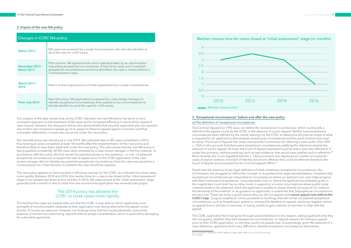#### **2. Impact of the new NA policy**

# Changes in CCRC NA policy

| Before 2012                          | NA cases are screened by a single Commissioner who decides whether to<br>send the case for a full review.                                                                                                                                                           |
|--------------------------------------|---------------------------------------------------------------------------------------------------------------------------------------------------------------------------------------------------------------------------------------------------------------------|
| November 2012 -<br><b>March 2013</b> | Pilot scheme: NA applicants are sent a standard letter by an administrator<br>requesting exceptional circumstances. If they fail to reply and if potential<br>exceptional circumstances cannot be identified, the case is closed without a<br>Commissioner's input. |
| <b>March 2013 -</b><br>2014          | Return to the original policy of initial assessment by a single Commissioner.                                                                                                                                                                                       |
| From July 2014                       | New NA policy: NA applications screened by a case review manager to<br>identify exceptional circumstances, then passed on to a Commissioner to<br>decide whether to send the case for a full review.                                                                |

Our analysis of the data reveals that, as the CCRC intended, the new NA policy has led to a more consistent approach to the treatment of NA cases and to increased efficiency in terms of the speed of case-closure. However, the discussion below also demonstrates that very few applicants who are rejected due to their lack of previous appeal go on to apply for leave to appeal against conviction and that vulnerable defendants, in particular, are at risk under the new policy.

The Criminal Appeal Act 1995 does not define the 'exceptional circumstances' which could justify a referral to the appeal courts by the CCRC in the absence of a prior appeal. Neither have exceptional circumstances been defined by the courts, leaving it to the CCRC to determine the precise scope of what is required for an applicant to demonstrate exceptional circumstances and the point at which this must be done. The Court of Appeal has rarely criticised the Commission for referring a case under CAA 1995 s. 13(2) on the grounds that there were exceptional circumstances justifying the reference despite the absence of a prior appeal. At most, the Court of Appeal expressed surprise that a case was referred to it under this provision, without anything, such as new evidence, that would have justified such a reference.<sup>28</sup> More recently, the Court regretted that the s. 13(2) procedure was deployed as a matter of routine for cases of asylum seekers convicted of identity document offences that could be referred directly to the Court of Appeal and processed by the Criminal Appeal Office.<sup>29</sup>

The new NA policy was introduced in July 2014. We collected data on 80 cases completed in 2016, thus looking at cases completed at least 18 months after the implementation of the new policy and therefore likely to have been dealt with under this new policy. This data shows that the new NA policy is being applied consistently. All NA cases were reviewed by a case review manager in the first instance. In accordance with the policy, this first review focused exclusively on the existence – or not – of potential exceptional circumstances to explain the lack of appeal prior to the CCRC application. If the case review manager did not identify any potential exceptional circumstances then the case was passed to a Commissioner for a final decision on whether the case should be rejected.

The new policy appears to have resulted in efficiency savings for the CCRC, as it allowed it to close cases more rapidly. Between 2010 and 2014, the median time for a case to be closed at the 'initial assessment' stage in our sample was three to four months. In 2016, NA cases closed at the 'initial assessment' stage generally took a month or less to close from the moment the application was received (see graph).

# The 2014 policy has allowed the CCRC to close cases more rapidly.

The fact that like cases are treated alike and that the CCRC is now able to inform applicants more promptly of insurmountable obstacles to their application ever being referred to the appeal courts should, of course, be welcome. However, our findings show that this could potentially come at the expense of meritorious cases being rejected without proper consideration, which is particularly damaging for vulnerable applicants.

#### **3. 'Exceptional circumstances' before and after the new policy**

#### *(a) The definition of 'exceptional circumstances'*

Faced with the absence of any legal definition of what constitutes 'exceptional circumstances', the Commission has struggled to define the concept. In its guidance for legal representatives, it explains that exceptional circumstances are interpreted as 'circumstances where an applicant can only make progress with [the Commission's] assistance', citing examples such as 'where the applicant has pleaded guilty in the magistrates' court (and has no other route to appeal) or in some circumstances where public body material needs to be obtained, which the applicant is unable to obtain directly because of, for instance, the sensitivity of the material.' In its guidance to applicants, it underlines that '[e]xceptional circumstances are very rare. There has to be a good reason why you did not appeal and **cannot appeal now without the CCRC's help**.' (original emphasis). It then proceeds to list things that will not be considered exceptional circumstances, such as forgetting to appeal or missing the deadline to appeal, receiving negative advice on appeal from a solicitor or barrister, or being unable to get a solicitor or barrister to help with the appeal.

The CCRC application form has gone through several iterations in this respect, asking applicants why they did not appeal, whether they had 'exceptional circumstances' or 'special reasons' for failing to appeal prior to their CCRC application, or why they could not appeal now. Unsurprisingly given the absence of a clear definition, applicants find it very difficult to identify exceptional circumstances themselves.





<sup>28</sup>*. R v Gerald* (CA, 3 November 1998), [1998] Lexis Citation 3682, [1999] Crim. L.R. 315 (CA (Crim Div)). 29. See below.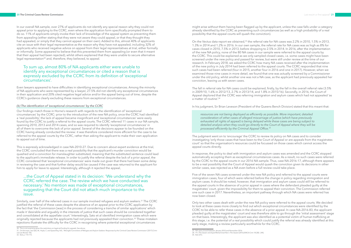In our overall NA sample, over 27% of applicants do not identify any special reason why they could not appeal prior to applying to the CCRC, even where the application form specifically prompted them to do so. 11% of applicants simply invoke their lack of knowledge of the appeal system as preventing them from appealing (either stating that they were not aware they could appeal, or that they thought they had appealed, or simply that they cannot appeal on their own). Added to this, almost 40% of applicants cite an issue with their legal representative as the reason why they have not appealed, including 32% of applicants who received negative advice on appeal from their legal representatives at trial, either formally or informally. Some appeared to believe that this prevented them from appealing (or even that it meant that their appeal had been rejected), whilst others explained that they were unable to secure alternative legal representation<sup>30</sup> and, therefore, they believed, to appeal.

## To sum up, almost 80% of NA applicants either were unable to identify any exceptional circumstances or cited a reason that is expressly excluded by the CCRC from its definition of 'exceptional circumstances'.

Even lawyers appeared to have difficulties in identifying exceptional circumstances. Among the minority of NA applicants who were represented by a lawyer, 27.5% did not identify any exceptional circumstances in their application and 20% cited negative legal advice and/or the appeal being out of time, despite the CCRC's guidance clearly excluding these reasons from exceptional circumstances.

#### *(b) The identification of 'exceptional circumstances' by the CCRC*

Our findings match those in Horne's research with regards to the identification of 'exceptional circumstances' by the CCRC: prior to the introduction of the new NA policy, once the CCRC had identified a 'real possibility', the lack of appeal became insignificant and 'exceptional circumstances' were easily found by the CCRC to justify a referral to the appeal courts. The CCRC referred 11 cases in our NA sample, spanning 2010, 2013 and 2014 cases, and so was required to identify 'exceptional circumstances' in all of them to overcome the lack of prior appeal. Several of the decisions appear to be founded on the CCRC having already conducted the review: it was therefore considered more efficient for the case to be referred to the appeal courts by the CCRC, rather than asking the applicant to make their own application to appeal out of time.

This is expressly acknowledged in case NA-2010-27. Due to concern about expert evidence at the trial, the CCRC concluded that there was a real possibility that the applicant's murder conviction would be quashed and a conviction for manslaughter substituted, meaning that the substituted sentence could lead to the applicant's immediate release. In order to justify the referral despite the lack of a prior appeal, the CCRC considered that 'exceptional circumstances' were made out given that there had been some delay in reviewing the case and that further delay would be caused if the case was returned to the applicant for him to apply for leave to appeal. Interestingly, although it rejected the appeal,

On the Vectus data report we obtained,<sup>33</sup> the referral rate for NA cases was 2.2% in 2010, 1.5% in 2013, 1.3% in 2014 and 1.2% in 2016. In our own sample, the referral rate for NA cases was as high as 8% for cases closed in 2010, 7.5% in 2013, before dropping to 2.5% in 2014. In 2016, after the implementation of the new NA policy, none of the 80 NA cases in our sample were referred to the appeal courts by the CCRC. This could be explained as we only sampled closed cases, i.e. some cases might have been screened under the new policy and passed for review, but were still under review at the time of our research. In February 2018, we asked the CCRC how many NA cases received after the implementation of the new policy in July 2014 had been referred to the appeal courts. The CCRC responded that nine such cases had been referred (four in 2015, another four in 2016 and one in 2017). However, when we examined those nine cases in more detail, we found that one was actually screened by a Commissioner under the old policy, whilst another one was not a NA case, as the applicant had previously appealed her conviction, leaving us with seven cases.

...the Court of Appeal stated in its decision: 'We understand why the CCRC referred the case. The review which we have conducted was necessary.' No mention was made of exceptional circumstances, suggesting that the Court did not attach much importance to the issue.

Similarly, over half of the referred cases in our sample involved refugees and asylum seekers.31 The CCRC justified the referral of these cases despite the absence of an appeal prior to the CCRC application by the fact that 'the Commission [was] in the process of considering a tranche of similar applications' which made it 'desirable and arguably in the interests of justice that such cases should be considered together and consolidated at the appellate court.' Interestingly, Sato et al identified immigration cases which were originally rejected because the applicants had not previously appealed their conviction.32 These mistaken rejections illustrate the difficulty for the CCRC in recognising where potential exceptional circumstances

*nal Law Review* 106. 32. Ibid, p. 114-115.

might arise without them having been flagged up by the applicant, unless the case falls under a category already identified by the CCRC as presenting such circumstances (as well as a high probability of a real possibility that the appeal courts will quash the conviction).

The fall in referral rate for NA cases could be explained, firstly, by the fall in the overall referral rate (3.5% in 2009/10, 1.6% in 2012/13, 2.7% in 2013/14, and 1.8% in 2015/16). Secondly, in 2016, the Court of Appeal deplored that the CCRC was referring immigration and asylum cases which had not appealed 'as a matter of routine'.34

In his judgment, Sir Brian Leveson (President of the Queens Bench Division) stated that this meant that:

*resources are not being deployed as efficiently as possible. More important, detailed consideration of other cases of alleged miscarriage of justice (which have previously exhausted all rights of appeal) is being delayed while these cases are being subject to detailed analysis when they could go directly to the Court of Appeal where they will be processed efficiently by the Criminal Appeal Office.35*

The judgment went on to 'encourage' the CCRC to review its policy on NA cases and to consider investigating 'only those cases that have been to the Court of Appeal or are appeals from the magistrates court' so that the organisation's resources could be focussed on those cases which cannot access the appeal courts directly.

In response, the policy to deal with immigration and asylum cases was amended and the CCRC stopped automatically accepting them as exceptional circumstances cases. As a result, no such cases were referred by the CCRC to the appeal courts in our 2016 NA sample. Thus, case NA-2016-17, although there appears to be a real possibility that the Court of Appeal would quash the conviction given its decisions in other similar cases, was rejected as a NA even before a full review could take place.

Five of the seven NA cases screened under the new NA policy and referred to the appeal courts were immigration cases, four of which were referred before the change in policy regarding immigration and asylum cases. It should be noted, however, that immigration and asylum cases could still be referred to the appeal courts in the absence of a prior appeal in cases where the defendant pleaded guilty at the magistrates' court, given the impossibility for them to appeal their conviction. The Commission referred one such case in 2017. Nevertheless, an important pathway through which NA cases were referred has now been closed.

Only two other cases dealt with under the new NA policy were referred to the appeal courts. We decided to look at these cases more closely to find out which exceptional circumstances were identified by the CCRC to be able to refer these cases in the absence of a prior appeal. In case NA-2016-83, the applicant pleaded guilty at the magistrates' court and was therefore able to go through the 'initial assessment' stage on that basis. Interestingly, the applicant was also identified as a potential victim of human trafficking at this stage, i.e. the potential of a real possibility which could justify the referral was already identified at this early stage, making a review particularly worthwhile for the CCRC.

<sup>30.</sup> This is not surprising given the restrictions on legal aid funding for appeals. See above.<br>31. On this topic, see Sato, M., Hoyle, C. and Speechley, N.E., 'Wrongful Convictions of Refugee and Asylum Seekers: Responses

<sup>33.</sup> NA cases closed between January 2010 and November 2016.

<sup>34.</sup> *YY v The Queen* and *Ayad Mohammed Nori v The Queen* [2016] EWCA Crim 18 [38] – [44]. 35. Ibid. [41].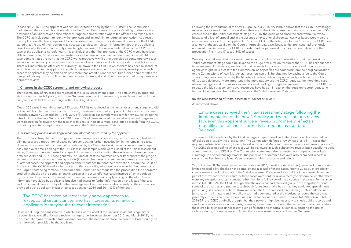In case NA-2016-82, the applicant was actually invited to apply by the CCRC itself. The Commission had referred the case of his co-defendant to the Crown Court due to the police's failing to disclose the presence of an undercover police officer during the demonstration where the offence had taken place. The CCRC actively sought to identify the applicant and invited him to lodge an application. As a result, the application effectively bypassed the 'initial assessment' stage. In its statement of reasons, the CCRC stated that the use of their powers was necessary to discover relevant information about the applicant's case. Crucially, this information only came to light because of the review undertaken by the CCRC in the case of the applicant's co-defendant. It is unlikely that either the applicant or the CCRC would have been able to identify any 'exceptional circumstances' in this case without the co-defendant's case. Whilst this case demonstrates the way that the CCRC works proactively with other agencies on contemporary issues arising in the criminal justice system, such cases are likely to represent a tiny proportion of all NA cases. There will inevitably be other cases, currently unknown to the CCRC, in which there has been misconduct which is unknown to the applicant and which the applicant could not, in any event, investigate. In such cases the applicant may be able to do little more than assert his innocence. This further demonstrates the danger of relying on the applicant to identify potential exceptional circumstances and of using these as a barrier to review.

#### **4. Changes in the CCRC screening and reviewing process**

The vast majority of NA cases are rejected at the 'initial assessment' stage. The data shows an apparent shift under the new NA policy, with more NA cases being sent for review but, as explained below, further analysis reveals that this is a change without real significance.

Out of 250 cases in our NA sample, 183 cases (73.2%) were closed at the 'initial assessment' stage and did not benefit from further investigation. However, this overall rate masks important differences across time periods. Between 2010 and 2014, only 20% of NA cases in our sample were sent for review. Following the introduction of the new NA policy, in 2016 over 37% of cases survived the 'initial assessment' stage and were passed on for review. On the face of it, this could indicate a more generous approach from the CCRC in finding potential exceptional circumstances at the 'initial assessment' stage.

#### *(a) A screening process increasingly reliant on information provided by the applicant*

The CCRC has always had a two-stage decision-making process (see above), with a screening test which eliminates a large proportion of cases before conducting further investigation in the remaining cases. However, the amount of documentation reviewed by the Commission at the 'initial assessment' stage has varied over time. Looking at the 183 cases in our sample which were closed at the 'initial assessment' stage, Commissioners requested a range of documents prior to making the decision to close the case between 2010 and 2014. These generally included at least the court file and/or transcripts of the judge's summing up or prosecution opening of facts (in guilty plea cases) and sentencing remarks. In about a quarter of cases, the applicant had appealed their sentence (but not their conviction) before the Court of Appeal and the CCRC therefore had access to the appeal file, which generally includes the transcript of the judge's sentencing remarks. Sometimes, the Commissioner requested the prosecution file or ordered credibility checks on the complainant (in particular in sexual offences cases) instead of, or in addition to, the other documents. This meant that Commissioners were not simply relying on the often limited information provided by applicants, but also had access to further information on the facts of the case and on potential issues worthy of further investigation. Commissioners relied merely on the information provided by the applicant in just three cases between 2010 and 2014 (3% of the total).

### The CCRC has taken an increasingly narrow approach to 'exceptional circumstances' and has increased its reliance on applicants identifying the relevant information.

However, during the pilot scheme in which cases were closed at the 'initial assessment' stage either by administrative staff or by case review managers (i.e. between November 2012 and March 2013), no documentation was requested from external sources. The decision to close the case was based purely on the information provided by the applicant.

Following the introduction of the new NA policy, our 2016 NA sample shows that the CCRC increasingly relies on applicants for information about the case at the 'initial assessment' stage. In our sample of 50 cases closed at the 'initial assessment' stage in 2016, the decision to close the case without a review because of a lack of appeal and in the absence of exceptional circumstances was based purely on the information provided by the applicant in 15 cases (30% of the total). In a further 18 cases, the CCRC could also look at the appeal file on the Court of Appeal's database, because the applicant had previously appealed their sentence. The CCRC requested further paperwork, such as the court file and/or the prosecution file in just 17 cases (34% of cases).

We originally believed that this growing reliance on applicants for information about the case at the 'initial assessment' stage could be linked to the huge pressures on resources the CCRC has experienced in recent years. For instance, we thought that requests for paperwork from courts and other external agencies might incur a cost to the Commission, as paper files are couriered from their original location to the Commission's offices. Moreover, transcripts can only be obtained by paying a fee to the Court Transcribing firms contracted by the Ministry of Justice, unless they are already available on the Court of Appeal's database. More importantly, the more paperwork the CCRC requests, the more time case review managers and Commissioners must spend reading through that material. However, the CCRC has rejected the idea that concerns over resources have had an impact on the decision to stop requesting further documentation from other agencies at the 'initial assessment' stage.

# *(b) The reclassification of 'initial assessment' checks as 'review'*

As indicated above,

### ...more cases survived the 'initial assessment' stage following the implementation of the new NA policy and were sent for a review. However, this apparent surge in review work merely reflects a requalification of checks formerly carried out as standard, as 'reviews'.

The review of the evidence by the CCRC is largely paper-based and often based on files collected by official bodies (usually the prosecution). The Commission defines a 'review case' as 'all (…) cases that require a *substantive* review' (our emphasis) in its Formal Memorandum on its decision-making process.36 The CCRC does not define what exactly will be reviewed in such 'substantive review' but it usually includes at least the court and CPS files. The Commission sometimes also requested transcripts of the judge's summing-up and sentencing remarks. The police and/or defence files were also examined in certain cases, as well as the complainant's social services files if available and relevant.

Yet, out of the 30 NA cases passed on for review in 2016, nine (i.e. almost a third) benefited from a review limited to credibility checks on the complainant in sexual offences cases. Prior to 2016, such credibility checks were carried out as part of the 'initial assessment' stage and so would not have been classed as part of the 'review' process. A further three cases were sent for review merely to determine whether there were any exceptional circumstances, rather than for a full review of the evidence in the case. For instance, in case NA-2016-24, the CCRC thought that the applicant had pleaded guilty in the magistrates' court to some of the charges and put the case through for review on the basis that they could not appeal those particular guilty plea convictions. However, when the CCRC realised that the magistrates had declined jurisdiction in all matters and no guilty pleas had been entered at the magistrates' court, the case was promptly closed as no other exceptional circumstances were apparent. In cases NA-2016-32 and NA-2016-57, the CCRC originally thought that their powers might be necessary to check public records and send the case for review on that basis, however, it was then discovered that other circumstances rendered these credibility checks unnecessary, such as forensic and medical evidence supporting the use of violence during the sexual assault. Again, these cases were promptly closed as NA cases.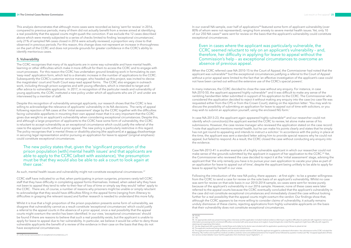This analysis demonstrates that although more cases were recorded as being 'sent for review' in 2016, compared to previous periods, many of them did not actually benefit from a review aimed at identifying a real possibility that the appeal courts might quash the conviction. If we exclude the 12 cases described above which were merely subjected to a series of checks limited to finding 'exceptional circumstances', only 21% of sampled NA cases closed in 2016 were actually reviewed, a proportion very close to that observed in previous periods. For this reason, this change does not represent an increase in thoroughness on the part of the CCRC and does not provide grounds for greater confidence in the CCRC's ability to identify meritorious cases.

#### **5. Vulnerability**

The CCRC recognises that many of its applicants are in some way vulnerable and have mental health, learning or other difficulties which make it more difficult for them to access the CCRC and to engage with court processes. For this reason the CCRC has undertaken ground-breaking work in formulating its own 'easy-read' application form, which led to a dramatic increase in the number of applications to the CCRC. Subsequently the CCRC's customer service manager, who headed up this project, was invited to devise the magistrates' court and Youth Court easy-read appeal forms. The CCRC also engages in outreach work, including through prison surgeries and with young offenders, which is intended to target and offer advice to vulnerable applicants. In 2017, in recognition of the particular needs and vulnerability of young applicants, the CCRC instituted a new policy under which all applicants who are 21 and under are interviewed by a member of staff.

Despite this recognition of vulnerability amongst applicants, our research shows that the CCRC is less willing to acknowledge the relevance of applicants' vulnerability in its NA decisions. The rarity of appeal following rejection of NA cases at the 'initial assessment' stage by the CCRC together with the difficulties facing vulnerable appellants in mounting their own appeal mean that it is very important that the CCRC gives due weight to an applicant's vulnerability when considering exceptional circumstances. Despite this, and although a large proportion of applicants to the CCRC have some form of vulnerability, the CCRC is reluctant to accept vulnerability as an exceptional circumstance which could justify the referral of the case to the appeal courts without a prior appeal. The new policy is particularly restrictive in this regard. The policy recognises that 'a mental illness or disability placing [the applicant] at a serious disadvantage in securing legal representation and/or pursuing an application for leave to appeal' (original emphasis) could constitute exceptional circumstances.

In our overall NA sample, over half of applications<sup>38</sup> featured some form of applicant vulnerability (over 80% of whom were not represented), ranging from anxiety to severe mental health issues. Yet, only 10 of our 250 NA cases<sup>39</sup> were sent for review on the basis that the applicant's vulnerability could constitute exceptional circumstances.

## The new policy states that, given the 'significant proportion of the prison population [with] mental health issues' and that applicants are able to apply to the CCRC (albeit with assistance), 'the presumption must be that they would also be able to ask a court to look again at their case.'

As such, mental health issues and vulnerability might not constitute exceptional circumstances.<sup>37</sup>

CCRC staff have indicated to us that, when participating in prison surgeries, prisoners rarely tell CCRC staff that they have difficulty in completing appeal forms themselves. Instead, when asked why they have not been to appeal they tend to refer to their fear of loss of time or simply say they would 'rather' apply to the CCRC. There are, of course, a number of reasons why prisoners might be unable or simply reluctant to acknowledge that they would have difficulties filling in the appeal forms (ranging from illiteracy to difficulties in grasping the relevant issues) and further research is needed to understand this more fully.

In case NA-2013-23, the applicant again appeared highly vulnerable<sup>42</sup> and our researcher could not identify which conviction(s) the applicant wanted the CCRC to review, let alone make sense of his submissions. However, the case review manager who reviewed the application stated on the case record: 'I note that applicant mentions mental health, but he can make his points clearly and states that he simply has not got round to appealing and intends to instruct a solicitor.' In accordance with the policy in place at the time, the applicant was sent a standard letter asking him to provide special reasons why he could not appeal, but failed to respond. As a result, the CCRC closed the case without conducting any enquiry into the evidence.

Whilst it is true that a high proportion of the prison population presents some form of vulnerability, we disagree that vulnerability cannot as a result constitute 'exceptional circumstances' which could justify a referral to the appeal courts in the absence of a prior appeal, once a real possibility that the appeal courts might overturn the verdict has been identified. In our view, 'exceptional circumstances' should be found if there are reasons to believe that such a real possibility exists, but the applicant is unable to apply for leave to appeal due to her vulnerability. In particular, we believe it would be unfair to deny those vulnerable applicants the benefit of a review of the evidence in their case on the basis that they do not have exceptional circumstances.

### Even in cases where the applicant was particularly vulnerable, the CCRC seemed reluctant to rely on an applicant's vulnerability – and, therefore, her difficulty in applying for leave to appeal without the Commission's help – as exceptional circumstances to overcome an absence of previous appeal.

When the CCRC referred case NA-2010-15 to the Court of Appeal, the Commissioner had noted that the applicant was vulnerable<sup>40</sup> but the exceptional circumstances justifying a referral to the Court of Appeal without a prior appeal were limited to the fact that 'an effective investigation of the applicant's case could not have been carried out without the extensive use of the CCRC's special powers'.

In many instances, the CCRC decided to close the case without any enquiry. For instance, in case NA-2010-50, the applicant appeared highly vulnerable<sup>41</sup> and it was difficult to make any sense of the rambling handwritten letter submitted in support of his application to the CCRC. The Commissioner who considered the application decided to reject it without making any enquiry into the case (no case file was requested either from the CPS or from the Crown Court), stating on the rejection letter: 'You may wish to discuss the possibility of submitting an application for leave to appeal out of time with solicitors, or you may wish to submit an application yourself, using the enclosed NG form.'

Case NA-2013-41 is another example of a highly vulnerable applicant in which our researcher could not make sense of the grounds submitted by the applicant in support of her application to the CCRC.43 Yet, the Commissioner who reviewed the case decided to reject it at the 'initial assessment' stage, advising the applicant that 'the only remedy you have is to pursue your own application to vacate your plea as part of an application for leave to appeal out of time', despite the applicant being unlikely to be able to apply for leave to appeal by herself in our view.

Following the introduction of the new NA policy, there appears – at first sight – to be a greater willingness from the CCRC to send a case for review on the sole basis of an applicant's vulnerability. Whilst no case was sent for review on that sole basis in our 2010-2014 sample, six cases were sent for review purely because of the applicant's vulnerability in our 2016 sample. However, none of these cases were later referred to the appeal courts because the CCRC eventually concluded that the applicant's vulnerability in the case did not constitute exceptional circumstances and immediately closed the case without looking further for a real possibility that the appeal courts might overturn the verdict. Our findings show that, although the CCRC appears to be more willing to consider claims of vulnerability, it actually remains unduly dismissive of these claims, rejecting applications from highly vulnerable applicants on the basis that their vulnerability does not constitute exceptional circumstances.

<sup>40.</sup> An appropriate adult was present during police interviews and the application included medical evidence referring to cognitive difficulties (in particular with regards to memory and information processing) and to emotional difficulties connected with early sexual abuse and neglect. A psychologist also noted that the applicant might have difficulty with regard to retaining and organising information.

<sup>37.</sup> CCRC formal memorandum on exceptional circumstances, p. 4.

<sup>43.</sup> The applicant had mental health problems and her alcohol adviser told the CCRC that the applicant struggled to understand information. Her submissions to the CCRC included the following: 'My mother and myself has medical condition, [solicitor name and address] [mentions five hospital names followed by question marks] Law? My 1st appeal application [Proba-<br>tion service contact details] I never ha

<sup>38. 55.6%.</sup> 39. 4%.

<sup>41.</sup> He was diagnosed with a psychotic mental illness and a letter by his doctor was included with his application questioning his fitness to plead at trial. 42. The applicant mentioned being diagnosed with paranoid schizophrenia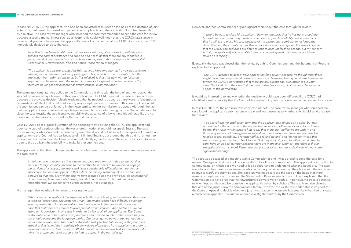In case NA-2016-22, the applicant, who had been convicted of murder on the basis of the doctrine of joint enterprise, had been diagnosed with paranoid schizophrenia and the application form had been filled by a relative. The case review manager who screened the case recommended to send the case for review because 'a severe mental illness such as schizophrenia could well mean that [the CCRC's] assistance is required.' A year into the review, the applicant's new solicitors contacted the CCRC. As a result, the CCRC immediately decided to close the case:

*'Now that is has been established that the applicant is capable of dealing with his affairs and has the correct assistance and support I do not think that there are any identifiable [exceptional circumstances] and as such we can dispose of this by way of a No Appeal No [Exceptional Circumstances] decision notice.' (case review manager)*

*'The applicant is ably represented by [his relative]. More importantly, he now has solicitors advising him on the merits of an appeal against his conviction. It is not explicit, but the implication from submissions to us, by [his relative], is that they now wish to focus on arguments to be drawn from the recent Supreme Ct judgment in Jogee. In view of this there are no longer any exceptional circumstances.' (Commissioner)*

The same applicant later re-applied to the Commission, this time with the help of another relative. He was not represented by a lawyer for this new application. The CCRC rejected the case without a review because the previous decision 'clearly explained that he needed to appeal as there were no [exceptional circumstances].' The CCRC could not identify any exceptional circumstances in this new application: 'All the submissions can be put forward in their own application for permission to appeal.' Although the fact that the applicant was represented by a lawyer seemed to be a determining factor in the first decision to close the case despite the applicant's vulnerability, the absence of a lawyer and his vulnerability are not mentioned in the reasons provided for the second decision.

Case NA-2016-56 is a good illustration of the opposing views dividing the CCRC. The applicant had been convicted of a serious offence. He was a foreign national and did not speak English. The case review manager who screened the case recognised that it would not be easy for the applicant to make an application to the Court of Appeal because of his limited English, but argued that this did not amount to exceptional circumstances. The Commissioner reluctantly agreed to reject the case, but insisted to leave open to the applicant the possibility to make further submissions.

The applicant replied that no lawyer wanted to take his case. The same case review manager argued on the case record:

*'I think we have to recognise that, due to language problems, and due to the fact that he is in a foreign country, and due to the fact that he appears to be unable to engage the services of a lawyer, [the applicant] faces considerable difficulties in mounting an application for leave to appeal. To that extent, he has my sympathy. However, I am not persuaded that this, or anything else we have learned since the provisional no [exceptional circumstances] letter amounts to exceptional circumstances. (…) I think we have to remember that we are conceived at the backstop, not a stop-gap.'*

His manager also weighed in in favour of closing the case:

*'Whilst clearly the applicant has experienced difficulty obtaining representation this is not in itself an [exceptional circumstance]. Many, many applicants have difficulty obtaining legal representation for an appeal and we have rejected other applications on the basis that that does not amount to [exceptional circumstances]. We need to ensure our approach is consistent in all cases in order to be fair to all of our applicants. The Court of Appeal is able to translate correspondence and provide an interpreter if necessary so that should overcome the language barrier. Our investigative powers are not needed to explore the lawyer issue. The Court of Appeal is well practised at dealing with grounds of appeal of that ilk and they regularly obtain waivers of privilege from appellants in order to make enquiries with defence teams. Whilst it would not be an easy task for the applicant - I think the proper course of action is for him to appeal in the normal way.'*

However, another Commissioner argued against them to put the case through for review:

*'It would be easy to close [the applicant] down on the basis that he has not crossed the [exceptional circumstances] threshold and could appeal himself. My concern remains that he will fail to make his case because of the exceptional combination of language difficulties and the complex issues that require time and investigation. It is true of course that the CACD can and does ask defence reps to account for their actions, but my concern is that [the applicant] will be unable to make a cogent appeal that does justice to the issues he is raising.'*

Eventually, the case was closed after the review by a third Commissioner and the Statement of Reasons explains to the applicant:

*'The CCRC decided to accept your application for a review because we thought that there might have been very special reasons in your case. However, having considered the matter further the CCRC is not satisfied that there are any exceptional circumstances in your case. The CCRC is of the view that the issues raised in your application could be raised on appeal in the normal way.'*

It would be interesting to know whether the decision would have been different if the CCRC had identified a real possibility that the Court of Appeal might quash the conviction in the course of its review.

In case NA-2016-75, the applicant was convicted of theft. The case review manager who screened the case found the applicant's submissions unclear and was unsure as to whether she should send the case for a review.

*'It appears from the application form that the applicant has initiated an appeal but has not waited for the outcome of the appeal before sending off an application to us. It may be that they have written back to him to say that there are "ineffective grounds"<sup>44</sup> and this is why he has not been given an appeal number. Having read what he has raised in relation to real possibility, it is rather difficult to understand, and I'm not convinced that we can simply ask him to go back to the CA if they are just going to tell him again that he can't have an appeal number because there are ineffective grounds – therefore is this an exceptional circumstance? Rather too many issues raised for me to deal with without some significant reading.'*

The case was discussed at a meeting with a Commissioner and it was agreed to send the case for a review: 'We agreed that the application is difficult to follow or comprehend. The applicant is struggling to communicate, on which basis we need to look deeper and to understand what the issues are.' The case was allocated to a case review manager who had a long conversation over the phone with the applicant's relative to clarify the submissions. The decision was made to close the case on the basis that there were no exceptional circumstances. The Statement of Reasons sent to the applicant explained that the Commission did not agree that their investigative powers were needed, in particular to trace a potential new witness, as this could be done on the applicant's behalf by solicitors. The applicant also claimed that one of the jurors knew the complainant's family. However, the CCRC responded that it was best for the Court of Appeal to decide whether a jury investigation is necessary. It seems likely that, had this case already been appealed, it would have been investigated further by the Commission.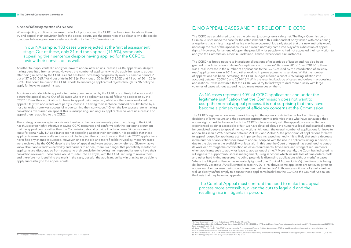#### *6. Appeal following rejection of a NA case*

When rejecting applicants because of a lack of prior appeal, the CCRC has been keen to advise them to try and appeal their conviction before the appeal courts. Yet, the proportion of applicants who do decide to appeal following an unsuccessful application to the CCRC remains low.

## In our NA sample, 183 cases were rejected at the 'initial assessment' stage. Out of these, only 21 did then appeal (11.5%), some only appealing their sentence despite having applied for the CCRC to review their conviction as well.

A further four applicants did apply for leave to appeal after an unsuccessful CCRC application, despite having benefitted from a review. However, the number of applicants who did apply for leave to appeal after being rejected by the CCRC as a NA has been increasing progressively over our sample period: 2 out of 37 in 2010 (5.4%), 4 out of 66 in 2013 (6.1%), 4 out of 30 in 2014 (13.3%) and 11 out of 50 in 2016 (22%). This could be due to the CCRC efforts to encourage applicants it rejects through its NA policy to apply for leave to appeal instead.

Applicants who decide to appeal after having been rejected by the CCRC are unlikely to be successful before the appeal courts. Out of 25 cases where the applicant appealed following a rejection by the CCRC, 19 saw their application for leave to appeal being rejected, whilst another one abandoned the appeal. Only two applicants were partly successful in having their sentence reduced or substituted by a hospital order, none was successful in overturning their conviction.45 Given the low success rate in having convictions overturned on appeal, this is unsurprising. Yet, only six applicants who were unsuccessful on appeal then re-applied to the CCRC.

The strategy of encouraging applicants to exhaust their appeal remedy prior to applying to the CCRC has thus proven highly effective at saving CCRC resources and conforms with the legitimate argument that the appeal courts, rather than the Commission, should provide finality in cases. Since we cannot know for certain why NA applicants are not appealing against their conviction, it is possible that these applicants were never really serious about challenging their convictions and that their CCRC applications never had any chance to succeed. However, under the old and more flexible NA policy, more NA cases were reviewed by the CCRC despite the lack of appeal and were subsequently referred. Given what we know about applicants' vulnerability and barriers to appeal, there is a danger that potentially meritorious applicants are discouraged from contesting their conviction following their repeated failure to have their conviction reviewed. These cases would thus fall into an abyss, with the CCRC refusing to review them and therefore not identifying the merit in the case, but with the applicant unlikely in practice to be able to apply successfully to the appeal courts.

# E. NO APPEAL CASES AND THE ROLE OF THE CCRC

The CCRC was established to act as the criminal justice system's safety net. The Royal Commission on Criminal Justice made the case for the establishment of this independent body tasked with considering allegations that a miscarriage of justice may have occurred. It clearly stated that this new authority would not usurp the role of the appeal courts, as it would normally come into play after exhaustion of appeal rights.46 However, Parliament left open the possibility for people who had not appealed their conviction to apply to the Commission, albeit in (undefined) limited 'exceptional circumstances'.

The CCRC has broad powers to investigate allegations of miscarriage of justice and has also been granted broad discretion to define 'exceptional circumstances'. Between 2010-11 and 2012-13, there was a 74% increase in the number of applications to the CCRC caused by the introduction of an 'easyread' application form in 2012 and other work to improve access to its services. Whilst the number of applications has been increasing, the CCRC budget suffered a cut of 30% (taking inflation into account) between 2009/10 and 2014/15.47 With the resulting backlog of cases and delays in processing applications, it was inevitable that the CCRC would try to find ways to deal more quickly with large volumes of cases without expending too many resources on them.

# As NA cases represent 40% of CCRC applications and under the legitimate justification that the Commission does not want to usurp the normal appeal process, it is not surprising that they have become a primary target of efficiency concerns at the Commission.

The CCRC's legitimate concerns to avoid usurping the appeal courts in their role of scrutinising the decisions of lower courts and their concern appropriately to prioritise those who have exhausted their appeal rights must be balanced with the CCRC's role as a safety net. The appeal process is often not experienced as either accessible or fair; we have detailed above the numerous legal and practical barriers for convicted people to appeal their convictions. Although the overall number of applications for leave to appeal has seen a 26% decrease between 2011/12 and 2015/16, the proportion of applications for leave to appeal lodged by applicants acting in person has increased markedly.<sup>48</sup> It is likely that such a decrease in the number of applications for leave to appeal, coupled with the rise in applicants acting in person, is due to the decline in the availability of legal aid. In this time the Court of Appeal has continued to control its workload 'through the combination of leave-requirements, time-limits, and stringent requirements when applicants seek to apply for leave to appeal out of time.<sup>'49</sup> More recently, the Court has indicated its willingness to support 'robust case management, using sanctions which include loss of time orders, costs and other hard hitting measures including potentially dismissing applications without merits' in cases 'where the Litigant in Person has repeatedly ignored [the Criminal Appeal Office's] directions or is being deliberately vexatious'.<sup>50</sup> As illustrated in case NA-2016-75 above, some applicants are not even given an appeal number because their grounds are deemed 'ineffective'. In those cases, it is wholly inefficient (as well as clearly unfair) simply to bounce those applicants back from the CCRC to the Court of Appeal on the basis that they have not appealed.

The Court of Appeal must confront the need to make the appeal process more accessible, given the cuts to legal aid and the resulting rise in litigants in person.

49. Richard Nobles and David Schiff, 'The Criminal Cases Review Commission: Establishing a Workable Relationship with the Court of Appeal' [2005] *Criminal Law Review* 173, 175–176.

50. Court of Appeal (Criminal Division) *Annual Report* 2015-16, p. 20.

<sup>45.</sup> The appeals of the remaining three applicants were still pending at the time of our research.

<sup>46.</sup> Royal Commission on Criminal Justice Report 1993, chapter 10, para 12.<br>47. Justice Committee, *Criminal Cases Review Commission,* 25 March 2015, HC 850, p. 17-18, available at <https://publications.parliament.uk/pa/cm2

htm> accessed 3 April 2018.<br>48. From 2.53% in 2012 to 9.21% in 2015/16 according to the Court of Appeal (Criminal Division) *Annual Report* 2015-16, available at <https://www.judiciary.gov.uk/publications/

court-of-appeal-criminal-division-annual-report-2015-16/> accessed 16 March 2018.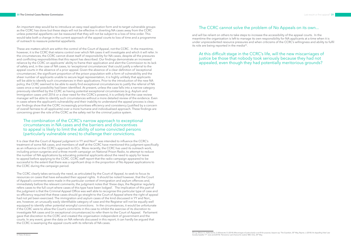An important step would be to introduce an easy-read application form and to target vulnerable groups as the CCRC has done but these steps will not be effective in diverting NA cases away from the CCRC unless potential appellants can be reassured that they will not be subject to a loss of time order. This would take both a change in the current approach of the appeal courts to loss of time and a programme of outreach to reassure potential appellants.

These are matters which are within the control of the Court of Appeal, not the CCRC. In the meantime, however, it is the CCRC that retains control over which NA cases it will investigate and which it will refer. In the circumstances, the CCRC cannot divest itself of responsibility for NA cases, despite all the pressures and conflicting responsibilities that this report has described. Our findings demonstrate an increased reliance by the CCRC on applicants' ability to frame their application and alert the Commission to its lack of safety and, in the case of NA cases, to 'exceptional circumstances' that could justify a referral to the appeal courts in the absence of a prior appeal. Given the absence of a clear definition of 'exceptional circumstances', the significant proportion of the prison population with a form of vulnerability and the sheer number of applicants unable to secure legal representation, it is highly unlikely that applicants will be able to identify such circumstances in their applications. Prior to the introduction of the new NA policy, the CCRC seemed to be able to easily find exceptional circumstances to justify the referral of NA cases once a real possibility had been identified. At present, unless the case falls into a narrow category previously identified by the CCRC as having potential exceptional circumstances (e.g. Asylum and Immigration cases until 2016 or a clear need for the CCRC's powers), it is unlikely that the case review manager will be able to identify such circumstances without a more detailed review of the evidence. Even in cases where the applicant's vulnerability and their inability to understand the appeal process is clear, our findings show that the CCRC increasingly prioritises efficiency and consistency (justified by a concern of overall fairness to all applicants) over a more humane and individualised approach. These findings are concerning given the role of the CCRC as the safety net for the criminal justice system.

It is clear that the Court of Appeal judgment in YY and Nori<sup>51</sup> was intended to influence the CCRC's treatment of some NA cases, and members of staff at the CCRC have mentioned this judgment specifically as an influence on the CCRC's approach to ECs. More recently, the CCRC has used its outreach work, including prison surgeries and a three month campaign on National Prison Radio, to attempt to reduce the number of NA applications by educating potential applicants about the need to apply for leave to appeal before applying to the CCRC. CCRC staff report that the radio campaign appeared to be successful to the extent that there was a significant drop in the proportion of No Appeal applications to the CCRC during the campaign period.

and will be reliant on others to take steps to increase the accessibility of the appeal courts. In the meantime the organisation is left to manage its own responsibility for NA applicants at a time when it is under unprecedented resource pressures and when criticisms of the CCRC's willingness and ability to fulfil its role are being reported in the media<sup>52</sup>.

## The combination of the CCRC's narrow approach to exceptional circumstances in NA cases and the barriers and disincentives to appeal is likely to limit the ability of some convicted persons (particularly vulnerable ones) to challenge their convictions.

The CCRC clearly takes seriously the need, as articulated by the Court of Appeal, to seek to focus its resources on cases that have exhausted their appeal rights. It should be noted however, that the Court of Appeal's comments were made in the particular context of immigration and asylum offences and, immediately before the relevant comments, the judgment notes that 'these days, the Registrar regularly refers cases to the full court where cases of this type have been lodged'. The implication of this part of the judgment is that the Criminal Appeal Office was well able to recognise this particular type of case and so efficiency required that these cases should go straight to the Court of Appeal where the right of appeal had not yet been exercised. The immigration and asylum cases of the kind discussed in YY and Nori are, however, an unusually easily identifiable category of case and the Registrar will not be equally well equipped to identify other potential wrongful convictions. In the circumstances, it would be unfortunate if the CCRC were to allow the Court's comments in this case to inhibit the exercise of its discretion to investigate NA cases and (in exceptional circumstances) to refer them to the Court of Appeal. Parliament gave that discretion to the CCRC and created the organisation independent of government and the courts. In any event, given the data on NA referrals discussed in this report, it can hardly be argued that the CCRC is swamping the appeal courts with its referrals of NA cases.

# The CCRC cannot solve the problem of No Appeals on its own...

At this difficult stage in the CCRC's life, will the new miscarriages of justice be those that nobody took seriously because they had not appealed, even though they had potentially meritorious grounds?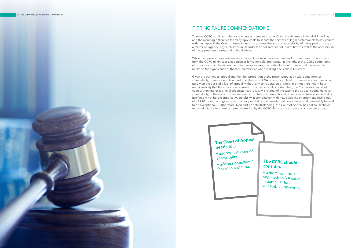# F. PRINCIPAL RECOMMENDATIONS

To many CCRC applicants, the appeal process remains arcane. Given the decrease in legal aid funding and the resulting difficulties for many applicants to secure the services of legal professionals to assist them with their appeal, the Court of Appeal needs to address the issue of accessibility of the appeal process as a matter of urgency. Any such steps must address appellants' fear of loss of time as well as the accessibility of the appeal court forms and of legal advice.

While the barriers to appeal remain significant, we would also recommend a more generous approach from the CCRC to NA cases, in particular for vulnerable applicants. In the light of the CCRC's admirable efforts to reach out to vulnerable potential applicants, it is particularly unfortunate that it is willing to minimise the significance of those vulnerabilities when making decisions in NA cases.

# **300 d**: accessioner<br>• address appellants' **The Court of Appea<sup>l</sup> needs to...**  $\bullet$  address the issue of accessibility fear of loss of time.

Given the barriers to appeal and the high proportion of the prison population with some form of vulnerability, there is a significant risk that the current NA policy might lead to some cases being rejected purely on the basis of a lack of appeal, without any consideration of whether or not there might be a real possibility that the conviction is unsafe. If such a possibility is identified, the Commission must, of course, then find exceptional circumstances to justify a referral of the case to the appeal courts. However, vulnerability, in these circumstances could constitute such exceptional circumstances (whilst vulnerability itself might not be 'exceptional', vulnerability in combination with new evidence or argument arising out of a CCRC review and giving rise to a real possibility of an overturned conviction could reasonably be said to be exceptional). Furthermore, Nori and YY notwithstanding, the Court of Appeal has not so far shown much reluctance to examine cases referred to by the CCRC despite the absence of a previous appeal.

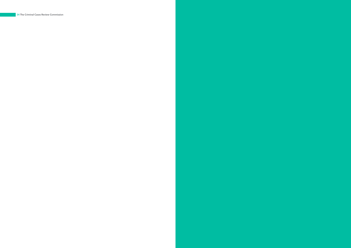**34 The Criminal Cases Review Commission**